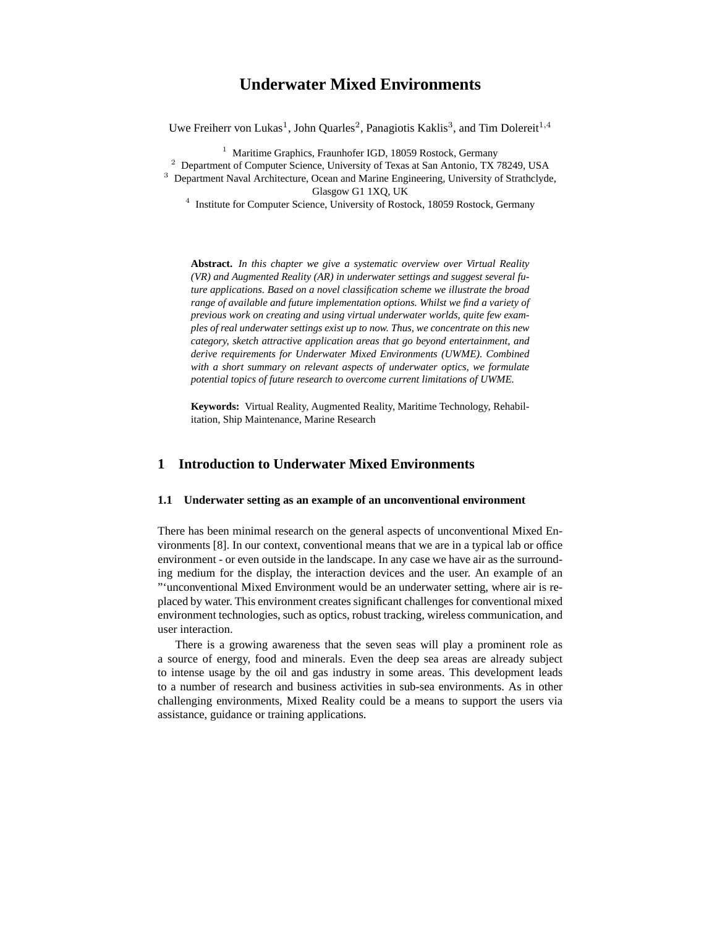# **Underwater Mixed Environments**

Uwe Freiherr von Lukas<sup>1</sup>, John Quarles<sup>2</sup>, Panagiotis Kaklis<sup>3</sup>, and Tim Dolereit<sup>1,4</sup>

<sup>1</sup> Maritime Graphics, Fraunhofer IGD, 18059 Rostock, Germany

<sup>2</sup> Department of Computer Science, University of Texas at San Antonio, TX 78249, USA <sup>3</sup> Department Naval Architecture, Ocean and Marine Engineering, University of Strathclyde,

Glasgow G1 1XQ, UK

4 Institute for Computer Science, University of Rostock, 18059 Rostock, Germany

**Abstract.** *In this chapter we give a systematic overview over Virtual Reality (VR) and Augmented Reality (AR) in underwater settings and suggest several future applications. Based on a novel classification scheme we illustrate the broad range of available and future implementation options. Whilst we find a variety of previous work on creating and using virtual underwater worlds, quite few examples of real underwater settings exist up to now. Thus, we concentrate on this new category, sketch attractive application areas that go beyond entertainment, and derive requirements for Underwater Mixed Environments (UWME). Combined with a short summary on relevant aspects of underwater optics, we formulate potential topics of future research to overcome current limitations of UWME.*

**Keywords:** Virtual Reality, Augmented Reality, Maritime Technology, Rehabilitation, Ship Maintenance, Marine Research

## **1 Introduction to Underwater Mixed Environments**

#### **1.1 Underwater setting as an example of an unconventional environment**

There has been minimal research on the general aspects of unconventional Mixed Environments [8]. In our context, conventional means that we are in a typical lab or office environment - or even outside in the landscape. In any case we have air as the surrounding medium for the display, the interaction devices and the user. An example of an "'unconventional Mixed Environment would be an underwater setting, where air is replaced by water. This environment creates significant challenges for conventional mixed environment technologies, such as optics, robust tracking, wireless communication, and user interaction.

There is a growing awareness that the seven seas will play a prominent role as a source of energy, food and minerals. Even the deep sea areas are already subject to intense usage by the oil and gas industry in some areas. This development leads to a number of research and business activities in sub-sea environments. As in other challenging environments, Mixed Reality could be a means to support the users via assistance, guidance or training applications.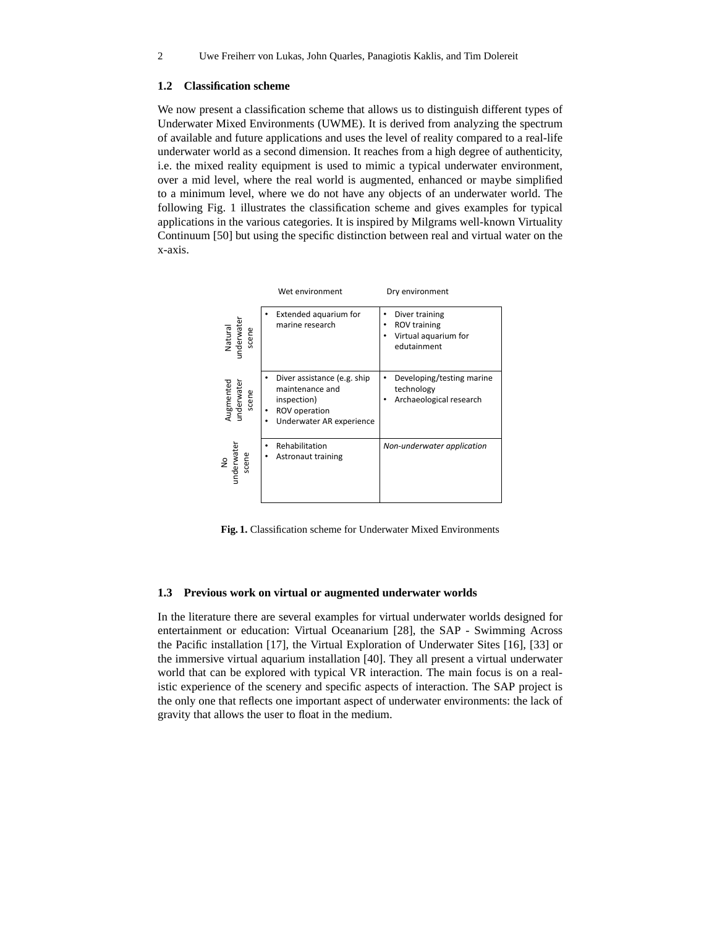#### **1.2 Classification scheme**

We now present a classification scheme that allows us to distinguish different types of Underwater Mixed Environments (UWME). It is derived from analyzing the spectrum of available and future applications and uses the level of reality compared to a real-life underwater world as a second dimension. It reaches from a high degree of authenticity, i.e. the mixed reality equipment is used to mimic a typical underwater environment, over a mid level, where the real world is augmented, enhanced or maybe simplified to a minimum level, where we do not have any objects of an underwater world. The following Fig. 1 illustrates the classification scheme and gives examples for typical applications in the various categories. It is inspired by Milgrams well-known Virtuality Continuum [50] but using the specific distinction between real and virtual water on the x-axis.



**Fig. 1.** Classification scheme for Underwater Mixed Environments

#### **1.3 Previous work on virtual or augmented underwater worlds**

In the literature there are several examples for virtual underwater worlds designed for entertainment or education: Virtual Oceanarium [28], the SAP - Swimming Across the Pacific installation [17], the Virtual Exploration of Underwater Sites [16], [33] or the immersive virtual aquarium installation [40]. They all present a virtual underwater world that can be explored with typical VR interaction. The main focus is on a realistic experience of the scenery and specific aspects of interaction. The SAP project is the only one that reflects one important aspect of underwater environments: the lack of gravity that allows the user to float in the medium.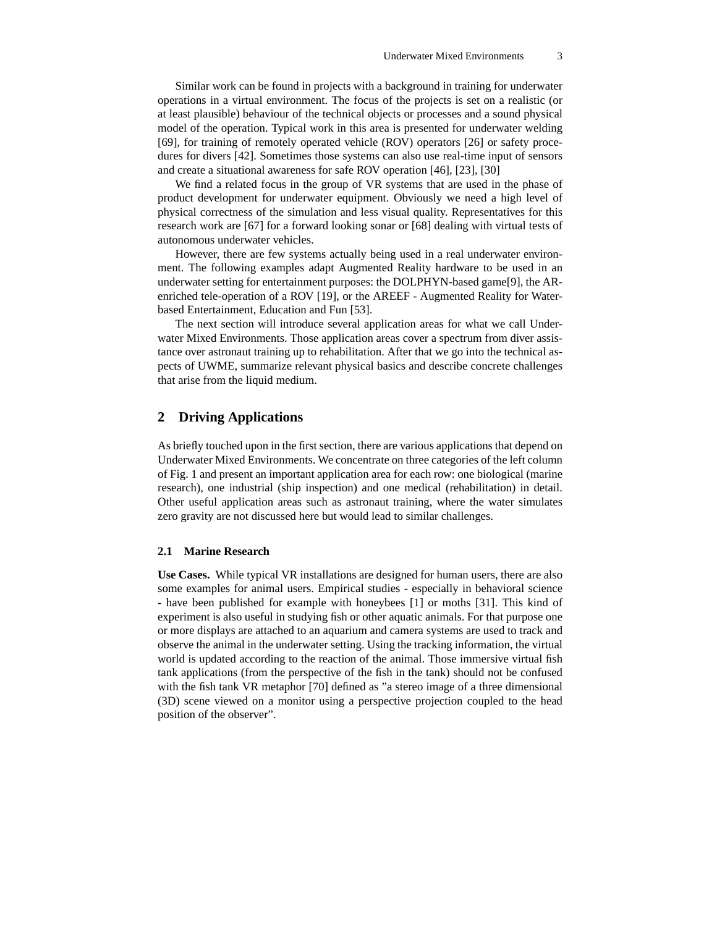Similar work can be found in projects with a background in training for underwater operations in a virtual environment. The focus of the projects is set on a realistic (or at least plausible) behaviour of the technical objects or processes and a sound physical model of the operation. Typical work in this area is presented for underwater welding [69], for training of remotely operated vehicle (ROV) operators [26] or safety procedures for divers [42]. Sometimes those systems can also use real-time input of sensors and create a situational awareness for safe ROV operation [46], [23], [30]

We find a related focus in the group of VR systems that are used in the phase of product development for underwater equipment. Obviously we need a high level of physical correctness of the simulation and less visual quality. Representatives for this research work are [67] for a forward looking sonar or [68] dealing with virtual tests of autonomous underwater vehicles.

However, there are few systems actually being used in a real underwater environment. The following examples adapt Augmented Reality hardware to be used in an underwater setting for entertainment purposes: the DOLPHYN-based game[9], the ARenriched tele-operation of a ROV [19], or the AREEF - Augmented Reality for Waterbased Entertainment, Education and Fun [53].

The next section will introduce several application areas for what we call Underwater Mixed Environments. Those application areas cover a spectrum from diver assistance over astronaut training up to rehabilitation. After that we go into the technical aspects of UWME, summarize relevant physical basics and describe concrete challenges that arise from the liquid medium.

## **2 Driving Applications**

As briefly touched upon in the first section, there are various applications that depend on Underwater Mixed Environments. We concentrate on three categories of the left column of Fig. 1 and present an important application area for each row: one biological (marine research), one industrial (ship inspection) and one medical (rehabilitation) in detail. Other useful application areas such as astronaut training, where the water simulates zero gravity are not discussed here but would lead to similar challenges.

#### **2.1 Marine Research**

**Use Cases.** While typical VR installations are designed for human users, there are also some examples for animal users. Empirical studies - especially in behavioral science - have been published for example with honeybees [1] or moths [31]. This kind of experiment is also useful in studying fish or other aquatic animals. For that purpose one or more displays are attached to an aquarium and camera systems are used to track and observe the animal in the underwater setting. Using the tracking information, the virtual world is updated according to the reaction of the animal. Those immersive virtual fish tank applications (from the perspective of the fish in the tank) should not be confused with the fish tank VR metaphor [70] defined as "a stereo image of a three dimensional (3D) scene viewed on a monitor using a perspective projection coupled to the head position of the observer".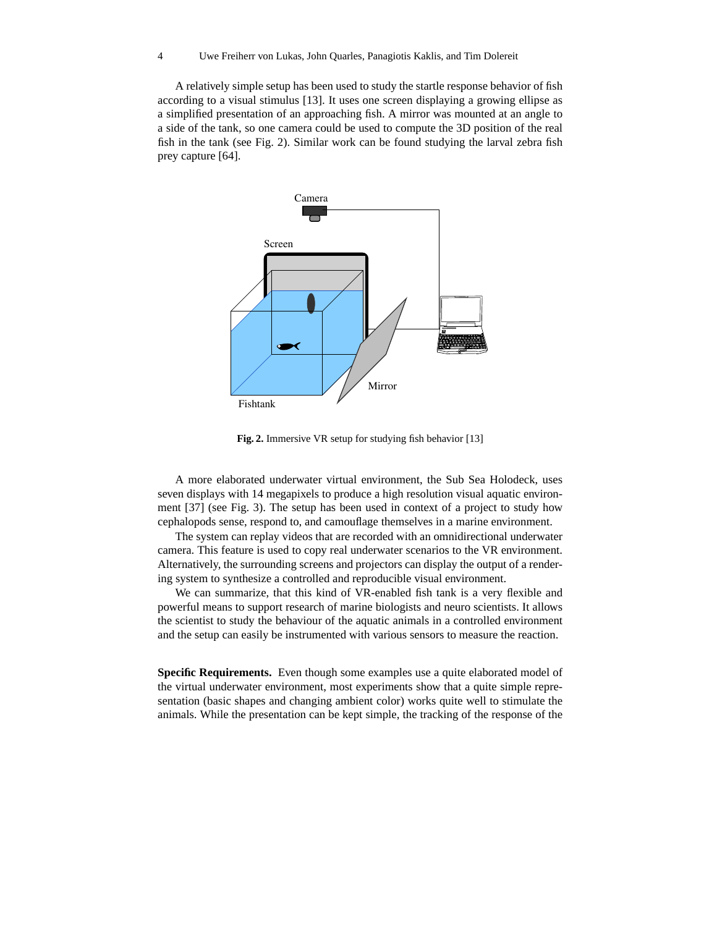A relatively simple setup has been used to study the startle response behavior of fish according to a visual stimulus [13]. It uses one screen displaying a growing ellipse as a simplified presentation of an approaching fish. A mirror was mounted at an angle to a side of the tank, so one camera could be used to compute the 3D position of the real fish in the tank (see Fig. 2). Similar work can be found studying the larval zebra fish prey capture [64].



**Fig. 2.** Immersive VR setup for studying fish behavior [13]

A more elaborated underwater virtual environment, the Sub Sea Holodeck, uses seven displays with 14 megapixels to produce a high resolution visual aquatic environment [37] (see Fig. 3). The setup has been used in context of a project to study how cephalopods sense, respond to, and camouflage themselves in a marine environment.

The system can replay videos that are recorded with an omnidirectional underwater camera. This feature is used to copy real underwater scenarios to the VR environment. Alternatively, the surrounding screens and projectors can display the output of a rendering system to synthesize a controlled and reproducible visual environment.

We can summarize, that this kind of VR-enabled fish tank is a very flexible and powerful means to support research of marine biologists and neuro scientists. It allows the scientist to study the behaviour of the aquatic animals in a controlled environment and the setup can easily be instrumented with various sensors to measure the reaction.

**Specific Requirements.** Even though some examples use a quite elaborated model of the virtual underwater environment, most experiments show that a quite simple representation (basic shapes and changing ambient color) works quite well to stimulate the animals. While the presentation can be kept simple, the tracking of the response of the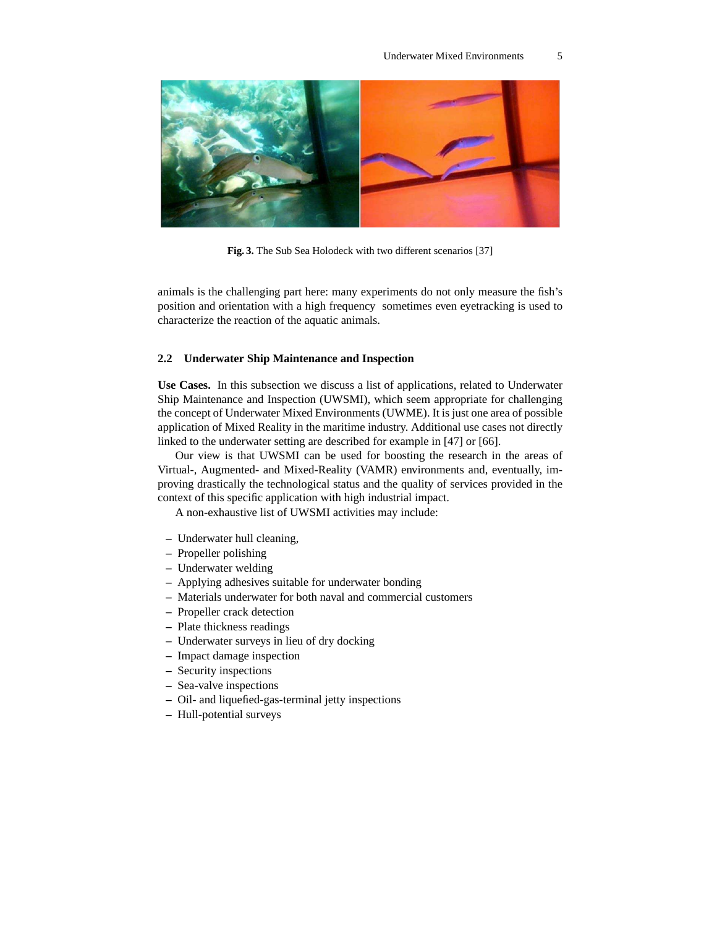

**Fig. 3.** The Sub Sea Holodeck with two different scenarios [37]

animals is the challenging part here: many experiments do not only measure the fish's position and orientation with a high frequency sometimes even eyetracking is used to characterize the reaction of the aquatic animals.

#### **2.2 Underwater Ship Maintenance and Inspection**

**Use Cases.** In this subsection we discuss a list of applications, related to Underwater Ship Maintenance and Inspection (UWSMI), which seem appropriate for challenging the concept of Underwater Mixed Environments (UWME). It is just one area of possible application of Mixed Reality in the maritime industry. Additional use cases not directly linked to the underwater setting are described for example in [47] or [66].

Our view is that UWSMI can be used for boosting the research in the areas of Virtual-, Augmented- and Mixed-Reality (VAMR) environments and, eventually, improving drastically the technological status and the quality of services provided in the context of this specific application with high industrial impact.

A non-exhaustive list of UWSMI activities may include:

- **–** Underwater hull cleaning,
- **–** Propeller polishing
- **–** Underwater welding
- **–** Applying adhesives suitable for underwater bonding
- **–** Materials underwater for both naval and commercial customers
- **–** Propeller crack detection
- **–** Plate thickness readings
- **–** Underwater surveys in lieu of dry docking
- **–** Impact damage inspection
- **–** Security inspections
- **–** Sea-valve inspections
- **–** Oil- and liquefied-gas-terminal jetty inspections
- **–** Hull-potential surveys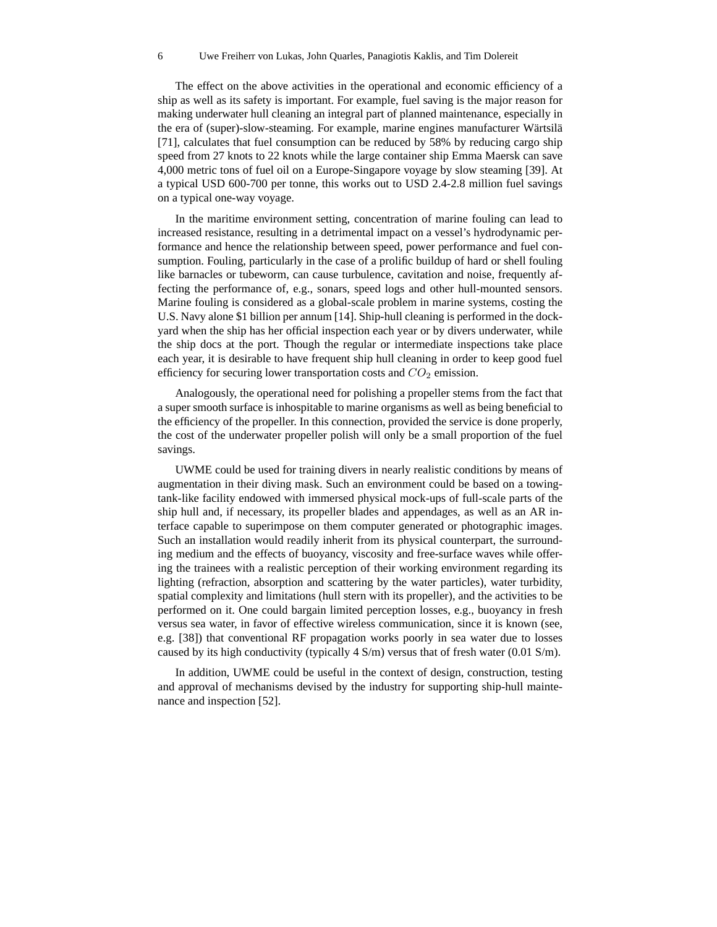The effect on the above activities in the operational and economic efficiency of a ship as well as its safety is important. For example, fuel saving is the major reason for making underwater hull cleaning an integral part of planned maintenance, especially in the era of (super)-slow-steaming. For example, marine engines manufacturer Wärtsilä [71], calculates that fuel consumption can be reduced by 58% by reducing cargo ship speed from 27 knots to 22 knots while the large container ship Emma Maersk can save 4,000 metric tons of fuel oil on a Europe-Singapore voyage by slow steaming [39]. At a typical USD 600-700 per tonne, this works out to USD 2.4-2.8 million fuel savings on a typical one-way voyage.

In the maritime environment setting, concentration of marine fouling can lead to increased resistance, resulting in a detrimental impact on a vessel's hydrodynamic performance and hence the relationship between speed, power performance and fuel consumption. Fouling, particularly in the case of a prolific buildup of hard or shell fouling like barnacles or tubeworm, can cause turbulence, cavitation and noise, frequently affecting the performance of, e.g., sonars, speed logs and other hull-mounted sensors. Marine fouling is considered as a global-scale problem in marine systems, costing the U.S. Navy alone \$1 billion per annum [14]. Ship-hull cleaning is performed in the dockyard when the ship has her official inspection each year or by divers underwater, while the ship docs at the port. Though the regular or intermediate inspections take place each year, it is desirable to have frequent ship hull cleaning in order to keep good fuel efficiency for securing lower transportation costs and  $CO<sub>2</sub>$  emission.

Analogously, the operational need for polishing a propeller stems from the fact that a super smooth surface is inhospitable to marine organisms as well as being beneficial to the efficiency of the propeller. In this connection, provided the service is done properly, the cost of the underwater propeller polish will only be a small proportion of the fuel savings.

UWME could be used for training divers in nearly realistic conditions by means of augmentation in their diving mask. Such an environment could be based on a towingtank-like facility endowed with immersed physical mock-ups of full-scale parts of the ship hull and, if necessary, its propeller blades and appendages, as well as an AR interface capable to superimpose on them computer generated or photographic images. Such an installation would readily inherit from its physical counterpart, the surrounding medium and the effects of buoyancy, viscosity and free-surface waves while offering the trainees with a realistic perception of their working environment regarding its lighting (refraction, absorption and scattering by the water particles), water turbidity, spatial complexity and limitations (hull stern with its propeller), and the activities to be performed on it. One could bargain limited perception losses, e.g., buoyancy in fresh versus sea water, in favor of effective wireless communication, since it is known (see, e.g. [38]) that conventional RF propagation works poorly in sea water due to losses caused by its high conductivity (typically  $4 \text{ S/m}$ ) versus that of fresh water (0.01 S/m).

In addition, UWME could be useful in the context of design, construction, testing and approval of mechanisms devised by the industry for supporting ship-hull maintenance and inspection [52].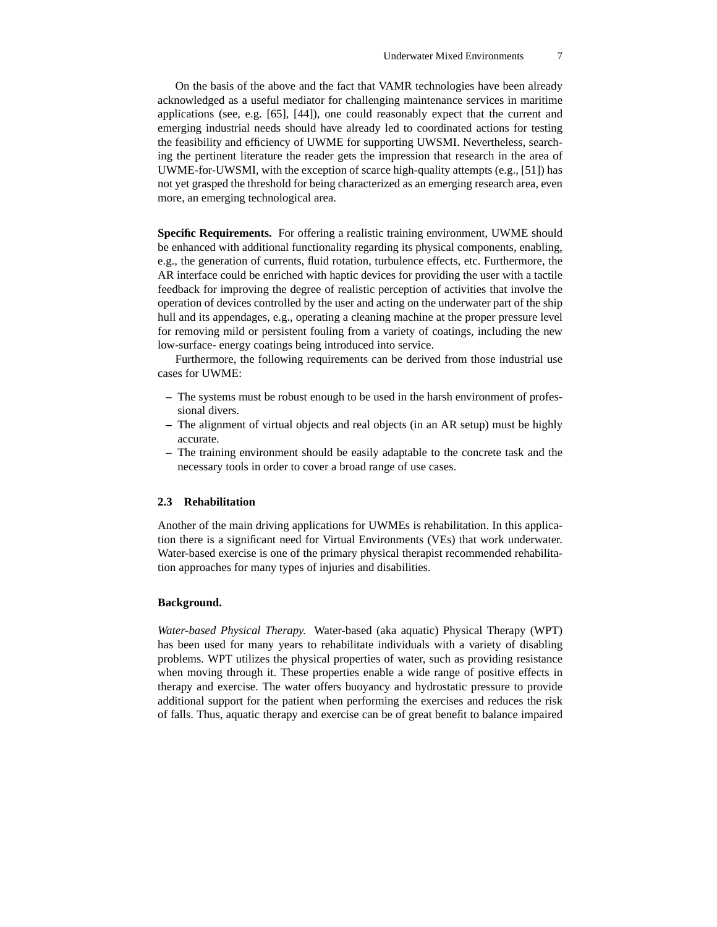On the basis of the above and the fact that VAMR technologies have been already acknowledged as a useful mediator for challenging maintenance services in maritime applications (see, e.g. [65], [44]), one could reasonably expect that the current and emerging industrial needs should have already led to coordinated actions for testing the feasibility and efficiency of UWME for supporting UWSMI. Nevertheless, searching the pertinent literature the reader gets the impression that research in the area of UWME-for-UWSMI, with the exception of scarce high-quality attempts (e.g., [51]) has not yet grasped the threshold for being characterized as an emerging research area, even more, an emerging technological area.

**Specific Requirements.** For offering a realistic training environment, UWME should be enhanced with additional functionality regarding its physical components, enabling, e.g., the generation of currents, fluid rotation, turbulence effects, etc. Furthermore, the AR interface could be enriched with haptic devices for providing the user with a tactile feedback for improving the degree of realistic perception of activities that involve the operation of devices controlled by the user and acting on the underwater part of the ship hull and its appendages, e.g., operating a cleaning machine at the proper pressure level for removing mild or persistent fouling from a variety of coatings, including the new low-surface- energy coatings being introduced into service.

Furthermore, the following requirements can be derived from those industrial use cases for UWME:

- **–** The systems must be robust enough to be used in the harsh environment of professional divers.
- **–** The alignment of virtual objects and real objects (in an AR setup) must be highly accurate.
- **–** The training environment should be easily adaptable to the concrete task and the necessary tools in order to cover a broad range of use cases.

### **2.3 Rehabilitation**

Another of the main driving applications for UWMEs is rehabilitation. In this application there is a significant need for Virtual Environments (VEs) that work underwater. Water-based exercise is one of the primary physical therapist recommended rehabilitation approaches for many types of injuries and disabilities.

### **Background.**

*Water-based Physical Therapy.* Water-based (aka aquatic) Physical Therapy (WPT) has been used for many years to rehabilitate individuals with a variety of disabling problems. WPT utilizes the physical properties of water, such as providing resistance when moving through it. These properties enable a wide range of positive effects in therapy and exercise. The water offers buoyancy and hydrostatic pressure to provide additional support for the patient when performing the exercises and reduces the risk of falls. Thus, aquatic therapy and exercise can be of great benefit to balance impaired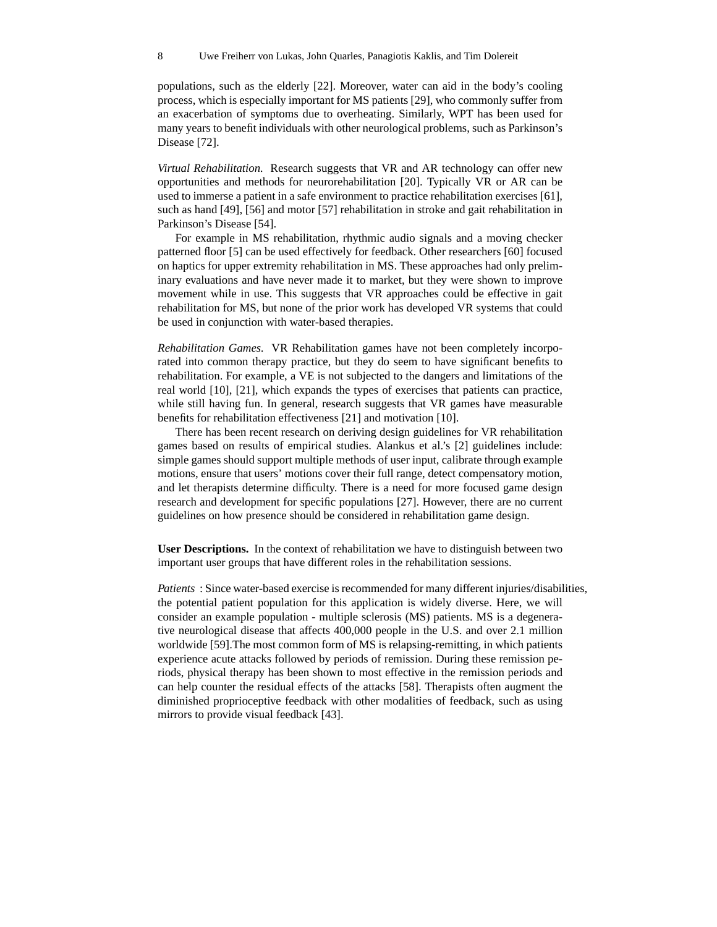populations, such as the elderly [22]. Moreover, water can aid in the body's cooling process, which is especially important for MS patients [29], who commonly suffer from an exacerbation of symptoms due to overheating. Similarly, WPT has been used for many years to benefit individuals with other neurological problems, such as Parkinson's Disease [72].

*Virtual Rehabilitation.* Research suggests that VR and AR technology can offer new opportunities and methods for neurorehabilitation [20]. Typically VR or AR can be used to immerse a patient in a safe environment to practice rehabilitation exercises [61], such as hand [49], [56] and motor [57] rehabilitation in stroke and gait rehabilitation in Parkinson's Disease [54].

For example in MS rehabilitation, rhythmic audio signals and a moving checker patterned floor [5] can be used effectively for feedback. Other researchers [60] focused on haptics for upper extremity rehabilitation in MS. These approaches had only preliminary evaluations and have never made it to market, but they were shown to improve movement while in use. This suggests that VR approaches could be effective in gait rehabilitation for MS, but none of the prior work has developed VR systems that could be used in conjunction with water-based therapies.

*Rehabilitation Games.* VR Rehabilitation games have not been completely incorporated into common therapy practice, but they do seem to have significant benefits to rehabilitation. For example, a VE is not subjected to the dangers and limitations of the real world [10], [21], which expands the types of exercises that patients can practice, while still having fun. In general, research suggests that VR games have measurable benefits for rehabilitation effectiveness [21] and motivation [10].

There has been recent research on deriving design guidelines for VR rehabilitation games based on results of empirical studies. Alankus et al.'s [2] guidelines include: simple games should support multiple methods of user input, calibrate through example motions, ensure that users' motions cover their full range, detect compensatory motion, and let therapists determine difficulty. There is a need for more focused game design research and development for specific populations [27]. However, there are no current guidelines on how presence should be considered in rehabilitation game design.

**User Descriptions.** In the context of rehabilitation we have to distinguish between two important user groups that have different roles in the rehabilitation sessions.

*Patients* : Since water-based exercise is recommended for many different injuries/disabilities, the potential patient population for this application is widely diverse. Here, we will consider an example population - multiple sclerosis (MS) patients. MS is a degenerative neurological disease that affects 400,000 people in the U.S. and over 2.1 million worldwide [59].The most common form of MS is relapsing-remitting, in which patients experience acute attacks followed by periods of remission. During these remission periods, physical therapy has been shown to most effective in the remission periods and can help counter the residual effects of the attacks [58]. Therapists often augment the diminished proprioceptive feedback with other modalities of feedback, such as using mirrors to provide visual feedback [43].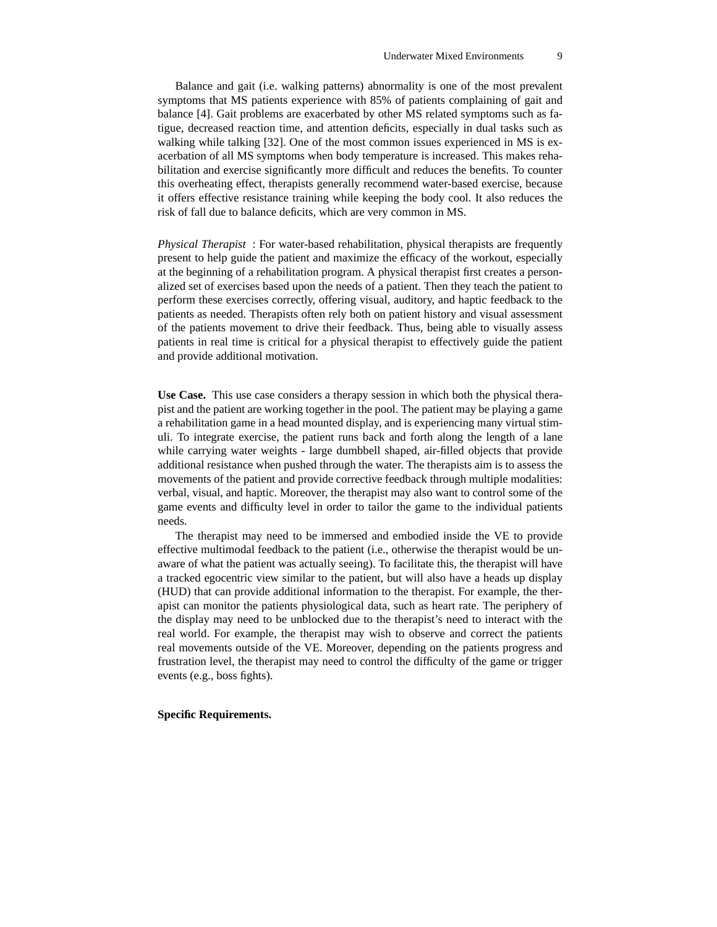Balance and gait (i.e. walking patterns) abnormality is one of the most prevalent symptoms that MS patients experience with 85% of patients complaining of gait and balance [4]. Gait problems are exacerbated by other MS related symptoms such as fatigue, decreased reaction time, and attention deficits, especially in dual tasks such as walking while talking [32]. One of the most common issues experienced in MS is exacerbation of all MS symptoms when body temperature is increased. This makes rehabilitation and exercise significantly more difficult and reduces the benefits. To counter this overheating effect, therapists generally recommend water-based exercise, because it offers effective resistance training while keeping the body cool. It also reduces the risk of fall due to balance deficits, which are very common in MS.

*Physical Therapist* : For water-based rehabilitation, physical therapists are frequently present to help guide the patient and maximize the efficacy of the workout, especially at the beginning of a rehabilitation program. A physical therapist first creates a personalized set of exercises based upon the needs of a patient. Then they teach the patient to perform these exercises correctly, offering visual, auditory, and haptic feedback to the patients as needed. Therapists often rely both on patient history and visual assessment of the patients movement to drive their feedback. Thus, being able to visually assess patients in real time is critical for a physical therapist to effectively guide the patient and provide additional motivation.

**Use Case.** This use case considers a therapy session in which both the physical therapist and the patient are working together in the pool. The patient may be playing a game a rehabilitation game in a head mounted display, and is experiencing many virtual stimuli. To integrate exercise, the patient runs back and forth along the length of a lane while carrying water weights - large dumbbell shaped, air-filled objects that provide additional resistance when pushed through the water. The therapists aim is to assess the movements of the patient and provide corrective feedback through multiple modalities: verbal, visual, and haptic. Moreover, the therapist may also want to control some of the game events and difficulty level in order to tailor the game to the individual patients needs.

The therapist may need to be immersed and embodied inside the VE to provide effective multimodal feedback to the patient (i.e., otherwise the therapist would be unaware of what the patient was actually seeing). To facilitate this, the therapist will have a tracked egocentric view similar to the patient, but will also have a heads up display (HUD) that can provide additional information to the therapist. For example, the therapist can monitor the patients physiological data, such as heart rate. The periphery of the display may need to be unblocked due to the therapist's need to interact with the real world. For example, the therapist may wish to observe and correct the patients real movements outside of the VE. Moreover, depending on the patients progress and frustration level, the therapist may need to control the difficulty of the game or trigger events (e.g., boss fights).

#### **Specific Requirements.**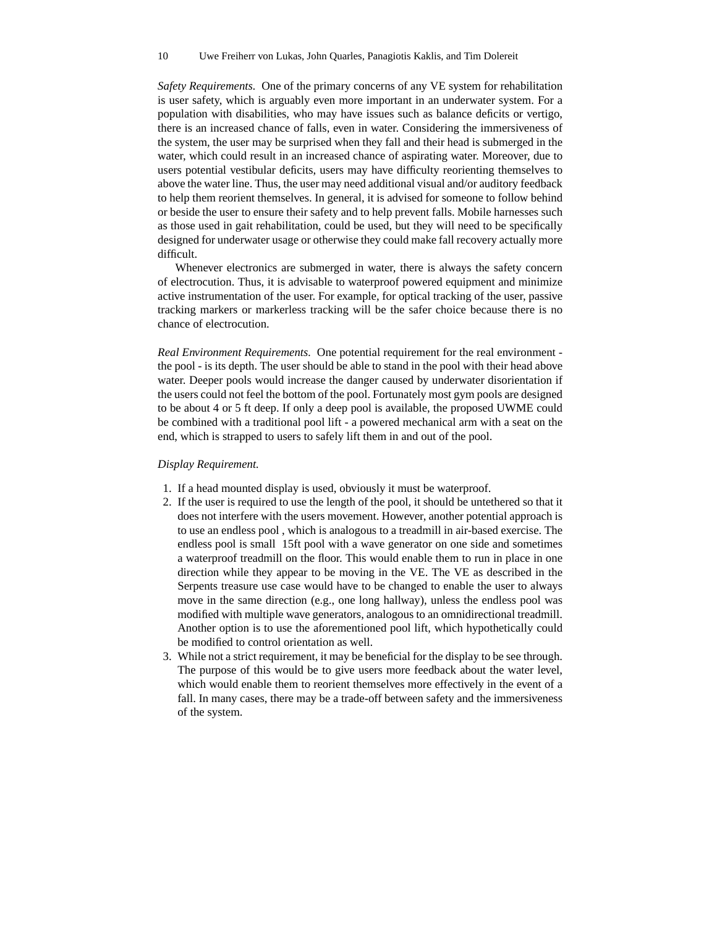*Safety Requirements.* One of the primary concerns of any VE system for rehabilitation is user safety, which is arguably even more important in an underwater system. For a population with disabilities, who may have issues such as balance deficits or vertigo, there is an increased chance of falls, even in water. Considering the immersiveness of the system, the user may be surprised when they fall and their head is submerged in the water, which could result in an increased chance of aspirating water. Moreover, due to users potential vestibular deficits, users may have difficulty reorienting themselves to above the water line. Thus, the user may need additional visual and/or auditory feedback to help them reorient themselves. In general, it is advised for someone to follow behind or beside the user to ensure their safety and to help prevent falls. Mobile harnesses such as those used in gait rehabilitation, could be used, but they will need to be specifically designed for underwater usage or otherwise they could make fall recovery actually more difficult.

Whenever electronics are submerged in water, there is always the safety concern of electrocution. Thus, it is advisable to waterproof powered equipment and minimize active instrumentation of the user. For example, for optical tracking of the user, passive tracking markers or markerless tracking will be the safer choice because there is no chance of electrocution.

*Real Environment Requirements.* One potential requirement for the real environment the pool - is its depth. The user should be able to stand in the pool with their head above water. Deeper pools would increase the danger caused by underwater disorientation if the users could not feel the bottom of the pool. Fortunately most gym pools are designed to be about 4 or 5 ft deep. If only a deep pool is available, the proposed UWME could be combined with a traditional pool lift - a powered mechanical arm with a seat on the end, which is strapped to users to safely lift them in and out of the pool.

#### *Display Requirement.*

- 1. If a head mounted display is used, obviously it must be waterproof.
- 2. If the user is required to use the length of the pool, it should be untethered so that it does not interfere with the users movement. However, another potential approach is to use an endless pool , which is analogous to a treadmill in air-based exercise. The endless pool is small 15ft pool with a wave generator on one side and sometimes a waterproof treadmill on the floor. This would enable them to run in place in one direction while they appear to be moving in the VE. The VE as described in the Serpents treasure use case would have to be changed to enable the user to always move in the same direction (e.g., one long hallway), unless the endless pool was modified with multiple wave generators, analogous to an omnidirectional treadmill. Another option is to use the aforementioned pool lift, which hypothetically could be modified to control orientation as well.
- 3. While not a strict requirement, it may be beneficial for the display to be see through. The purpose of this would be to give users more feedback about the water level, which would enable them to reorient themselves more effectively in the event of a fall. In many cases, there may be a trade-off between safety and the immersiveness of the system.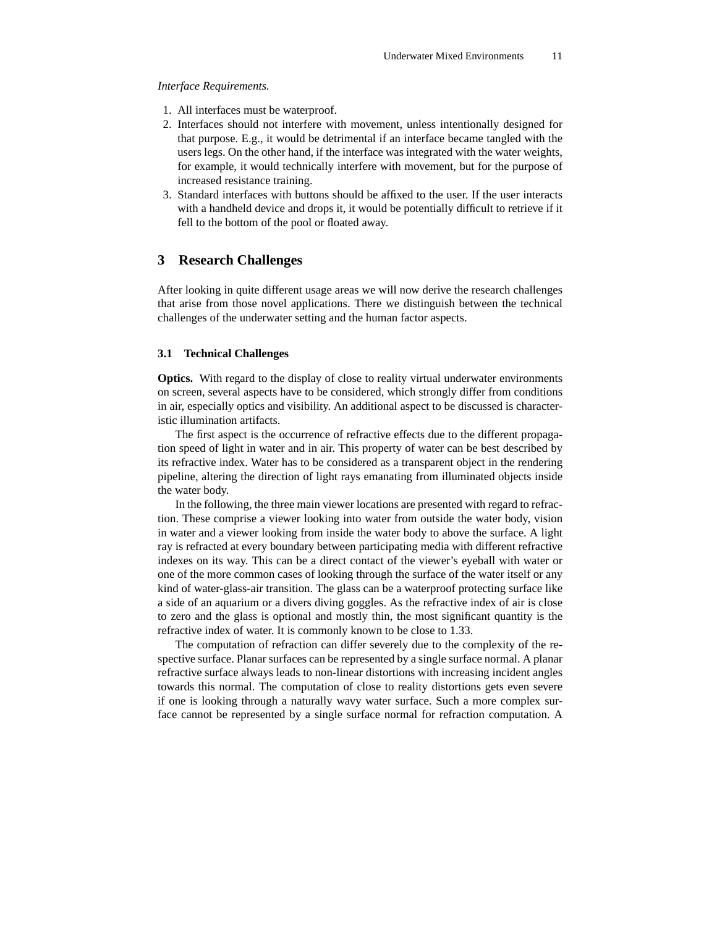*Interface Requirements.*

- 1. All interfaces must be waterproof.
- 2. Interfaces should not interfere with movement, unless intentionally designed for that purpose. E.g., it would be detrimental if an interface became tangled with the users legs. On the other hand, if the interface was integrated with the water weights, for example, it would technically interfere with movement, but for the purpose of increased resistance training.
- 3. Standard interfaces with buttons should be affixed to the user. If the user interacts with a handheld device and drops it, it would be potentially difficult to retrieve if it fell to the bottom of the pool or floated away.

## **3 Research Challenges**

After looking in quite different usage areas we will now derive the research challenges that arise from those novel applications. There we distinguish between the technical challenges of the underwater setting and the human factor aspects.

## **3.1 Technical Challenges**

**Optics.** With regard to the display of close to reality virtual underwater environments on screen, several aspects have to be considered, which strongly differ from conditions in air, especially optics and visibility. An additional aspect to be discussed is characteristic illumination artifacts.

The first aspect is the occurrence of refractive effects due to the different propagation speed of light in water and in air. This property of water can be best described by its refractive index. Water has to be considered as a transparent object in the rendering pipeline, altering the direction of light rays emanating from illuminated objects inside the water body.

In the following, the three main viewer locations are presented with regard to refraction. These comprise a viewer looking into water from outside the water body, vision in water and a viewer looking from inside the water body to above the surface. A light ray is refracted at every boundary between participating media with different refractive indexes on its way. This can be a direct contact of the viewer's eyeball with water or one of the more common cases of looking through the surface of the water itself or any kind of water-glass-air transition. The glass can be a waterproof protecting surface like a side of an aquarium or a divers diving goggles. As the refractive index of air is close to zero and the glass is optional and mostly thin, the most significant quantity is the refractive index of water. It is commonly known to be close to 1.33.

The computation of refraction can differ severely due to the complexity of the respective surface. Planar surfaces can be represented by a single surface normal. A planar refractive surface always leads to non-linear distortions with increasing incident angles towards this normal. The computation of close to reality distortions gets even severe if one is looking through a naturally wavy water surface. Such a more complex surface cannot be represented by a single surface normal for refraction computation. A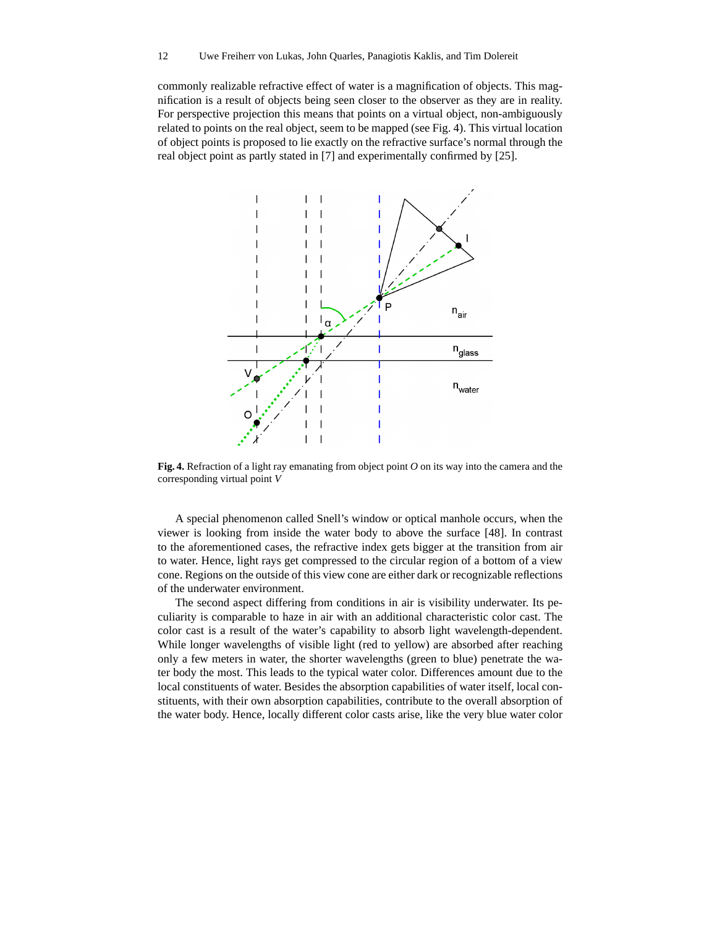commonly realizable refractive effect of water is a magnification of objects. This magnification is a result of objects being seen closer to the observer as they are in reality. For perspective projection this means that points on a virtual object, non-ambiguously related to points on the real object, seem to be mapped (see Fig. 4). This virtual location of object points is proposed to lie exactly on the refractive surface's normal through the real object point as partly stated in [7] and experimentally confirmed by [25].



**Fig. 4.** Refraction of a light ray emanating from object point *O* on its way into the camera and the corresponding virtual point *V*

A special phenomenon called Snell's window or optical manhole occurs, when the viewer is looking from inside the water body to above the surface [48]. In contrast to the aforementioned cases, the refractive index gets bigger at the transition from air to water. Hence, light rays get compressed to the circular region of a bottom of a view cone. Regions on the outside of this view cone are either dark or recognizable reflections of the underwater environment.

The second aspect differing from conditions in air is visibility underwater. Its peculiarity is comparable to haze in air with an additional characteristic color cast. The color cast is a result of the water's capability to absorb light wavelength-dependent. While longer wavelengths of visible light (red to yellow) are absorbed after reaching only a few meters in water, the shorter wavelengths (green to blue) penetrate the water body the most. This leads to the typical water color. Differences amount due to the local constituents of water. Besides the absorption capabilities of water itself, local constituents, with their own absorption capabilities, contribute to the overall absorption of the water body. Hence, locally different color casts arise, like the very blue water color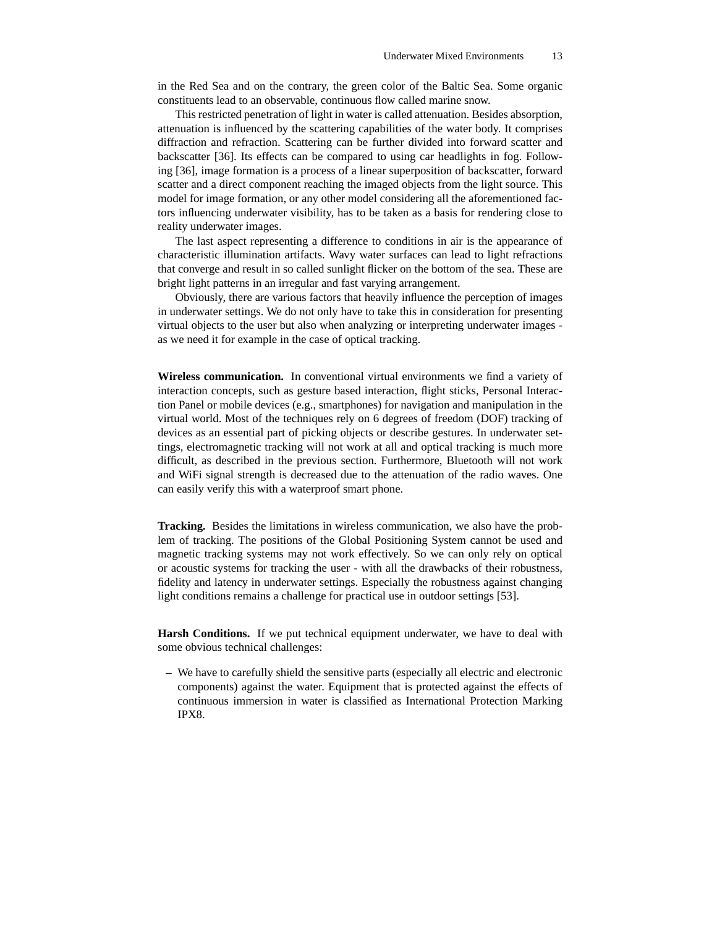in the Red Sea and on the contrary, the green color of the Baltic Sea. Some organic constituents lead to an observable, continuous flow called marine snow.

This restricted penetration of light in water is called attenuation. Besides absorption, attenuation is influenced by the scattering capabilities of the water body. It comprises diffraction and refraction. Scattering can be further divided into forward scatter and backscatter [36]. Its effects can be compared to using car headlights in fog. Following [36], image formation is a process of a linear superposition of backscatter, forward scatter and a direct component reaching the imaged objects from the light source. This model for image formation, or any other model considering all the aforementioned factors influencing underwater visibility, has to be taken as a basis for rendering close to reality underwater images.

The last aspect representing a difference to conditions in air is the appearance of characteristic illumination artifacts. Wavy water surfaces can lead to light refractions that converge and result in so called sunlight flicker on the bottom of the sea. These are bright light patterns in an irregular and fast varying arrangement.

Obviously, there are various factors that heavily influence the perception of images in underwater settings. We do not only have to take this in consideration for presenting virtual objects to the user but also when analyzing or interpreting underwater images as we need it for example in the case of optical tracking.

**Wireless communication.** In conventional virtual environments we find a variety of interaction concepts, such as gesture based interaction, flight sticks, Personal Interaction Panel or mobile devices (e.g., smartphones) for navigation and manipulation in the virtual world. Most of the techniques rely on 6 degrees of freedom (DOF) tracking of devices as an essential part of picking objects or describe gestures. In underwater settings, electromagnetic tracking will not work at all and optical tracking is much more difficult, as described in the previous section. Furthermore, Bluetooth will not work and WiFi signal strength is decreased due to the attenuation of the radio waves. One can easily verify this with a waterproof smart phone.

**Tracking.** Besides the limitations in wireless communication, we also have the problem of tracking. The positions of the Global Positioning System cannot be used and magnetic tracking systems may not work effectively. So we can only rely on optical or acoustic systems for tracking the user - with all the drawbacks of their robustness, fidelity and latency in underwater settings. Especially the robustness against changing light conditions remains a challenge for practical use in outdoor settings [53].

**Harsh Conditions.** If we put technical equipment underwater, we have to deal with some obvious technical challenges:

**–** We have to carefully shield the sensitive parts (especially all electric and electronic components) against the water. Equipment that is protected against the effects of continuous immersion in water is classified as International Protection Marking IPX8.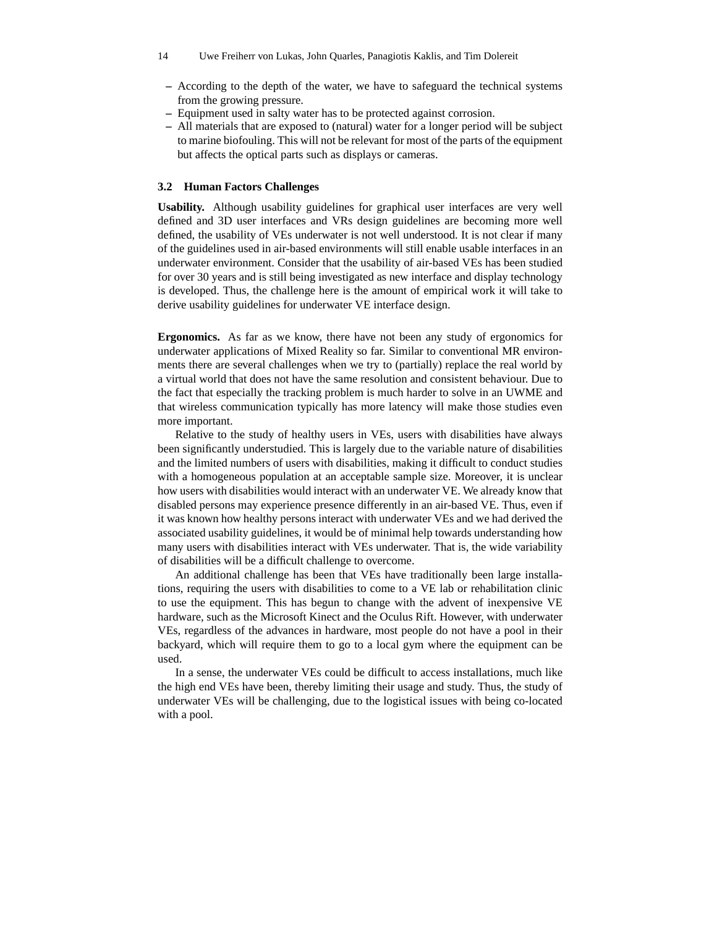- **–** According to the depth of the water, we have to safeguard the technical systems from the growing pressure.
- **–** Equipment used in salty water has to be protected against corrosion.
- **–** All materials that are exposed to (natural) water for a longer period will be subject to marine biofouling. This will not be relevant for most of the parts of the equipment but affects the optical parts such as displays or cameras.

#### **3.2 Human Factors Challenges**

**Usability.** Although usability guidelines for graphical user interfaces are very well defined and 3D user interfaces and VRs design guidelines are becoming more well defined, the usability of VEs underwater is not well understood. It is not clear if many of the guidelines used in air-based environments will still enable usable interfaces in an underwater environment. Consider that the usability of air-based VEs has been studied for over 30 years and is still being investigated as new interface and display technology is developed. Thus, the challenge here is the amount of empirical work it will take to derive usability guidelines for underwater VE interface design.

**Ergonomics.** As far as we know, there have not been any study of ergonomics for underwater applications of Mixed Reality so far. Similar to conventional MR environments there are several challenges when we try to (partially) replace the real world by a virtual world that does not have the same resolution and consistent behaviour. Due to the fact that especially the tracking problem is much harder to solve in an UWME and that wireless communication typically has more latency will make those studies even more important.

Relative to the study of healthy users in VEs, users with disabilities have always been significantly understudied. This is largely due to the variable nature of disabilities and the limited numbers of users with disabilities, making it difficult to conduct studies with a homogeneous population at an acceptable sample size. Moreover, it is unclear how users with disabilities would interact with an underwater VE. We already know that disabled persons may experience presence differently in an air-based VE. Thus, even if it was known how healthy persons interact with underwater VEs and we had derived the associated usability guidelines, it would be of minimal help towards understanding how many users with disabilities interact with VEs underwater. That is, the wide variability of disabilities will be a difficult challenge to overcome.

An additional challenge has been that VEs have traditionally been large installations, requiring the users with disabilities to come to a VE lab or rehabilitation clinic to use the equipment. This has begun to change with the advent of inexpensive VE hardware, such as the Microsoft Kinect and the Oculus Rift. However, with underwater VEs, regardless of the advances in hardware, most people do not have a pool in their backyard, which will require them to go to a local gym where the equipment can be used.

In a sense, the underwater VEs could be difficult to access installations, much like the high end VEs have been, thereby limiting their usage and study. Thus, the study of underwater VEs will be challenging, due to the logistical issues with being co-located with a pool.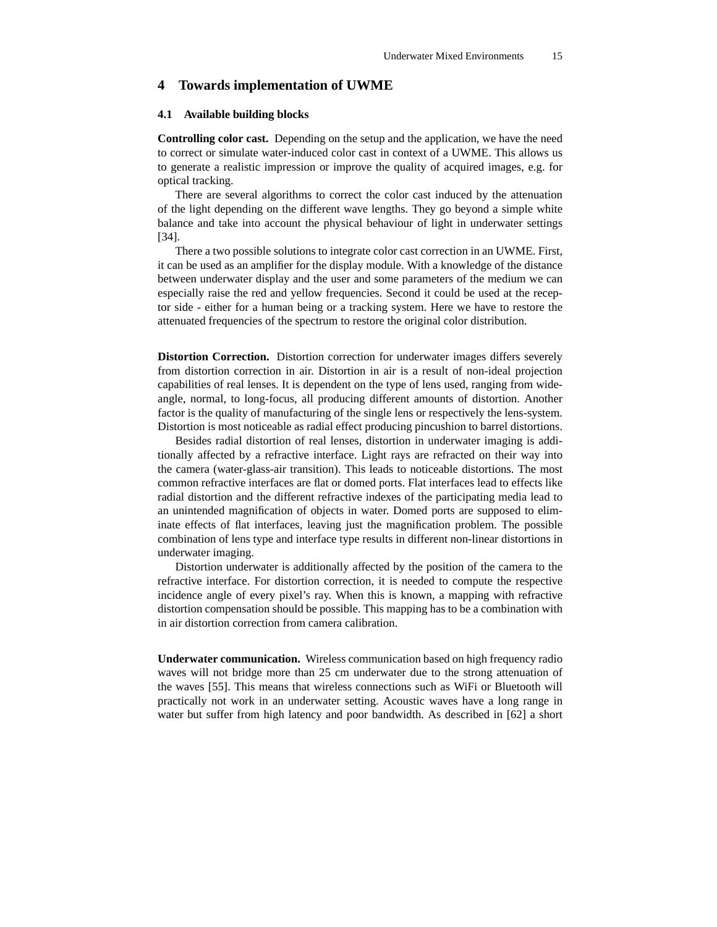## **4 Towards implementation of UWME**

#### **4.1 Available building blocks**

**Controlling color cast.** Depending on the setup and the application, we have the need to correct or simulate water-induced color cast in context of a UWME. This allows us to generate a realistic impression or improve the quality of acquired images, e.g. for optical tracking.

There are several algorithms to correct the color cast induced by the attenuation of the light depending on the different wave lengths. They go beyond a simple white balance and take into account the physical behaviour of light in underwater settings [34].

There a two possible solutions to integrate color cast correction in an UWME. First, it can be used as an amplifier for the display module. With a knowledge of the distance between underwater display and the user and some parameters of the medium we can especially raise the red and yellow frequencies. Second it could be used at the receptor side - either for a human being or a tracking system. Here we have to restore the attenuated frequencies of the spectrum to restore the original color distribution.

**Distortion Correction.** Distortion correction for underwater images differs severely from distortion correction in air. Distortion in air is a result of non-ideal projection capabilities of real lenses. It is dependent on the type of lens used, ranging from wideangle, normal, to long-focus, all producing different amounts of distortion. Another factor is the quality of manufacturing of the single lens or respectively the lens-system. Distortion is most noticeable as radial effect producing pincushion to barrel distortions.

Besides radial distortion of real lenses, distortion in underwater imaging is additionally affected by a refractive interface. Light rays are refracted on their way into the camera (water-glass-air transition). This leads to noticeable distortions. The most common refractive interfaces are flat or domed ports. Flat interfaces lead to effects like radial distortion and the different refractive indexes of the participating media lead to an unintended magnification of objects in water. Domed ports are supposed to eliminate effects of flat interfaces, leaving just the magnification problem. The possible combination of lens type and interface type results in different non-linear distortions in underwater imaging.

Distortion underwater is additionally affected by the position of the camera to the refractive interface. For distortion correction, it is needed to compute the respective incidence angle of every pixel's ray. When this is known, a mapping with refractive distortion compensation should be possible. This mapping has to be a combination with in air distortion correction from camera calibration.

**Underwater communication.** Wireless communication based on high frequency radio waves will not bridge more than 25 cm underwater due to the strong attenuation of the waves [55]. This means that wireless connections such as WiFi or Bluetooth will practically not work in an underwater setting. Acoustic waves have a long range in water but suffer from high latency and poor bandwidth. As described in [62] a short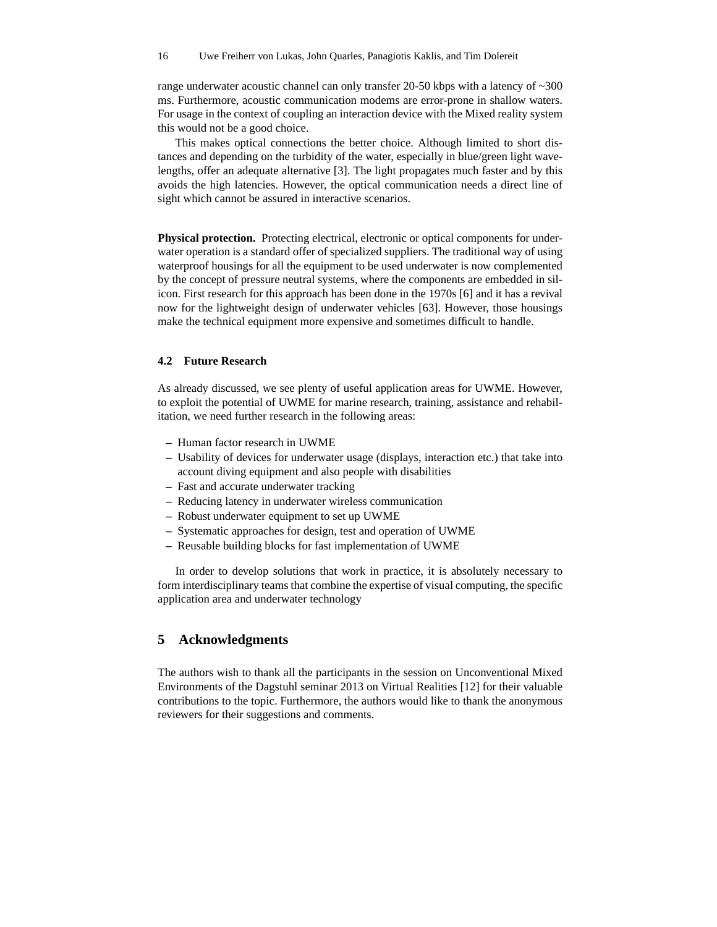range underwater acoustic channel can only transfer 20-50 kbps with a latency of ~300 ms. Furthermore, acoustic communication modems are error-prone in shallow waters. For usage in the context of coupling an interaction device with the Mixed reality system this would not be a good choice.

This makes optical connections the better choice. Although limited to short distances and depending on the turbidity of the water, especially in blue/green light wavelengths, offer an adequate alternative [3]. The light propagates much faster and by this avoids the high latencies. However, the optical communication needs a direct line of sight which cannot be assured in interactive scenarios.

**Physical protection.** Protecting electrical, electronic or optical components for underwater operation is a standard offer of specialized suppliers. The traditional way of using waterproof housings for all the equipment to be used underwater is now complemented by the concept of pressure neutral systems, where the components are embedded in silicon. First research for this approach has been done in the 1970s [6] and it has a revival now for the lightweight design of underwater vehicles [63]. However, those housings make the technical equipment more expensive and sometimes difficult to handle.

## **4.2 Future Research**

As already discussed, we see plenty of useful application areas for UWME. However, to exploit the potential of UWME for marine research, training, assistance and rehabilitation, we need further research in the following areas:

- **–** Human factor research in UWME
- **–** Usability of devices for underwater usage (displays, interaction etc.) that take into account diving equipment and also people with disabilities
- **–** Fast and accurate underwater tracking
- **–** Reducing latency in underwater wireless communication
- **–** Robust underwater equipment to set up UWME
- **–** Systematic approaches for design, test and operation of UWME
- **–** Reusable building blocks for fast implementation of UWME

In order to develop solutions that work in practice, it is absolutely necessary to form interdisciplinary teams that combine the expertise of visual computing, the specific application area and underwater technology

## **5 Acknowledgments**

The authors wish to thank all the participants in the session on Unconventional Mixed Environments of the Dagstuhl seminar 2013 on Virtual Realities [12] for their valuable contributions to the topic. Furthermore, the authors would like to thank the anonymous reviewers for their suggestions and comments.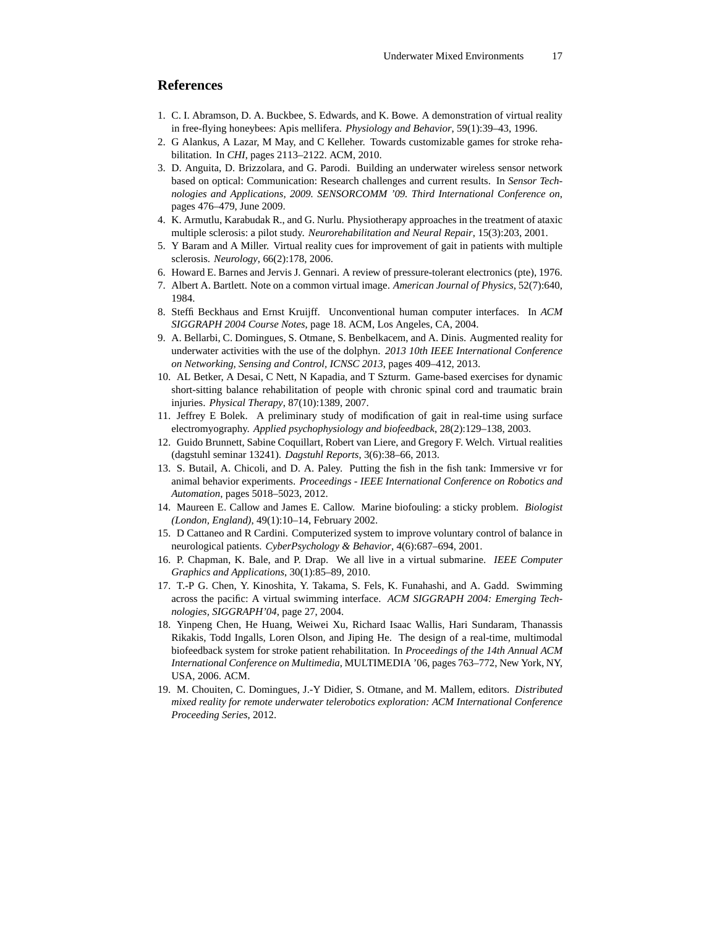## **References**

- 1. C. I. Abramson, D. A. Buckbee, S. Edwards, and K. Bowe. A demonstration of virtual reality in free-flying honeybees: Apis mellifera. *Physiology and Behavior*, 59(1):39–43, 1996.
- 2. G Alankus, A Lazar, M May, and C Kelleher. Towards customizable games for stroke rehabilitation. In *CHI*, pages 2113–2122. ACM, 2010.
- 3. D. Anguita, D. Brizzolara, and G. Parodi. Building an underwater wireless sensor network based on optical: Communication: Research challenges and current results. In *Sensor Technologies and Applications, 2009. SENSORCOMM '09. Third International Conference on*, pages 476–479, June 2009.
- 4. K. Armutlu, Karabudak R., and G. Nurlu. Physiotherapy approaches in the treatment of ataxic multiple sclerosis: a pilot study. *Neurorehabilitation and Neural Repair*, 15(3):203, 2001.
- 5. Y Baram and A Miller. Virtual reality cues for improvement of gait in patients with multiple sclerosis. *Neurology*, 66(2):178, 2006.
- 6. Howard E. Barnes and Jervis J. Gennari. A review of pressure-tolerant electronics (pte), 1976.
- 7. Albert A. Bartlett. Note on a common virtual image. *American Journal of Physics*, 52(7):640, 1984.
- 8. Steffi Beckhaus and Ernst Kruijff. Unconventional human computer interfaces. In *ACM SIGGRAPH 2004 Course Notes*, page 18. ACM, Los Angeles, CA, 2004.
- 9. A. Bellarbi, C. Domingues, S. Otmane, S. Benbelkacem, and A. Dinis. Augmented reality for underwater activities with the use of the dolphyn. *2013 10th IEEE International Conference on Networking, Sensing and Control, ICNSC 2013*, pages 409–412, 2013.
- 10. AL Betker, A Desai, C Nett, N Kapadia, and T Szturm. Game-based exercises for dynamic short-sitting balance rehabilitation of people with chronic spinal cord and traumatic brain injuries. *Physical Therapy*, 87(10):1389, 2007.
- 11. Jeffrey E Bolek. A preliminary study of modification of gait in real-time using surface electromyography. *Applied psychophysiology and biofeedback*, 28(2):129–138, 2003.
- 12. Guido Brunnett, Sabine Coquillart, Robert van Liere, and Gregory F. Welch. Virtual realities (dagstuhl seminar 13241). *Dagstuhl Reports*, 3(6):38–66, 2013.
- 13. S. Butail, A. Chicoli, and D. A. Paley. Putting the fish in the fish tank: Immersive vr for animal behavior experiments. *Proceedings - IEEE International Conference on Robotics and Automation*, pages 5018–5023, 2012.
- 14. Maureen E. Callow and James E. Callow. Marine biofouling: a sticky problem. *Biologist (London, England)*, 49(1):10–14, February 2002.
- 15. D Cattaneo and R Cardini. Computerized system to improve voluntary control of balance in neurological patients. *CyberPsychology & Behavior*, 4(6):687–694, 2001.
- 16. P. Chapman, K. Bale, and P. Drap. We all live in a virtual submarine. *IEEE Computer Graphics and Applications*, 30(1):85–89, 2010.
- 17. T.-P G. Chen, Y. Kinoshita, Y. Takama, S. Fels, K. Funahashi, and A. Gadd. Swimming across the pacific: A virtual swimming interface. *ACM SIGGRAPH 2004: Emerging Technologies, SIGGRAPH'04*, page 27, 2004.
- 18. Yinpeng Chen, He Huang, Weiwei Xu, Richard Isaac Wallis, Hari Sundaram, Thanassis Rikakis, Todd Ingalls, Loren Olson, and Jiping He. The design of a real-time, multimodal biofeedback system for stroke patient rehabilitation. In *Proceedings of the 14th Annual ACM International Conference on Multimedia*, MULTIMEDIA '06, pages 763–772, New York, NY, USA, 2006. ACM.
- 19. M. Chouiten, C. Domingues, J.-Y Didier, S. Otmane, and M. Mallem, editors. *Distributed mixed reality for remote underwater telerobotics exploration: ACM International Conference Proceeding Series*, 2012.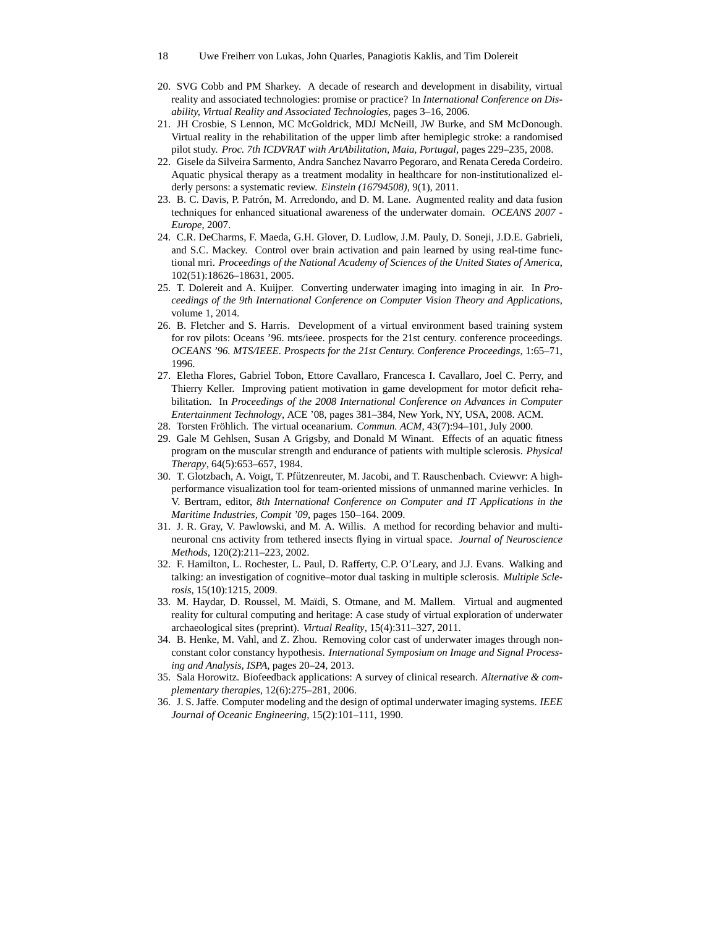18 Uwe Freiherr von Lukas, John Quarles, Panagiotis Kaklis, and Tim Dolereit

- 20. SVG Cobb and PM Sharkey. A decade of research and development in disability, virtual reality and associated technologies: promise or practice? In *International Conference on Disability, Virtual Reality and Associated Technologies*, pages 3–16, 2006.
- 21. JH Crosbie, S Lennon, MC McGoldrick, MDJ McNeill, JW Burke, and SM McDonough. Virtual reality in the rehabilitation of the upper limb after hemiplegic stroke: a randomised pilot study. *Proc. 7th ICDVRAT with ArtAbilitation, Maia, Portugal*, pages 229–235, 2008.
- 22. Gisele da Silveira Sarmento, Andra Sanchez Navarro Pegoraro, and Renata Cereda Cordeiro. Aquatic physical therapy as a treatment modality in healthcare for non-institutionalized elderly persons: a systematic review. *Einstein (16794508)*, 9(1), 2011.
- 23. B. C. Davis, P. Patrón, M. Arredondo, and D. M. Lane. Augmented reality and data fusion techniques for enhanced situational awareness of the underwater domain. *OCEANS 2007 - Europe*, 2007.
- 24. C.R. DeCharms, F. Maeda, G.H. Glover, D. Ludlow, J.M. Pauly, D. Soneji, J.D.E. Gabrieli, and S.C. Mackey. Control over brain activation and pain learned by using real-time functional mri. *Proceedings of the National Academy of Sciences of the United States of America*, 102(51):18626–18631, 2005.
- 25. T. Dolereit and A. Kuijper. Converting underwater imaging into imaging in air. In *Proceedings of the 9th International Conference on Computer Vision Theory and Applications*, volume 1, 2014.
- 26. B. Fletcher and S. Harris. Development of a virtual environment based training system for rov pilots: Oceans '96. mts/ieee. prospects for the 21st century. conference proceedings. *OCEANS '96. MTS/IEEE. Prospects for the 21st Century. Conference Proceedings*, 1:65–71, 1996.
- 27. Eletha Flores, Gabriel Tobon, Ettore Cavallaro, Francesca I. Cavallaro, Joel C. Perry, and Thierry Keller. Improving patient motivation in game development for motor deficit rehabilitation. In *Proceedings of the 2008 International Conference on Advances in Computer Entertainment Technology*, ACE '08, pages 381–384, New York, NY, USA, 2008. ACM.
- 28. Torsten Fröhlich. The virtual oceanarium. *Commun. ACM*, 43(7):94–101, July 2000.
- 29. Gale M Gehlsen, Susan A Grigsby, and Donald M Winant. Effects of an aquatic fitness program on the muscular strength and endurance of patients with multiple sclerosis. *Physical Therapy*, 64(5):653–657, 1984.
- 30. T. Glotzbach, A. Voigt, T. Pfutzenreuter, M. Jacobi, and T. Rauschenbach. Cviewvr: A high- ¨ performance visualization tool for team-oriented missions of unmanned marine verhicles. In V. Bertram, editor, *8th International Conference on Computer and IT Applications in the Maritime Industries, Compit '09*, pages 150–164. 2009.
- 31. J. R. Gray, V. Pawlowski, and M. A. Willis. A method for recording behavior and multineuronal cns activity from tethered insects flying in virtual space. *Journal of Neuroscience Methods*, 120(2):211–223, 2002.
- 32. F. Hamilton, L. Rochester, L. Paul, D. Rafferty, C.P. O'Leary, and J.J. Evans. Walking and talking: an investigation of cognitive–motor dual tasking in multiple sclerosis. *Multiple Sclerosis*, 15(10):1215, 2009.
- 33. M. Haydar, D. Roussel, M. Maïdi, S. Otmane, and M. Mallem. Virtual and augmented reality for cultural computing and heritage: A case study of virtual exploration of underwater archaeological sites (preprint). *Virtual Reality*, 15(4):311–327, 2011.
- 34. B. Henke, M. Vahl, and Z. Zhou. Removing color cast of underwater images through nonconstant color constancy hypothesis. *International Symposium on Image and Signal Processing and Analysis, ISPA*, pages 20–24, 2013.
- 35. Sala Horowitz. Biofeedback applications: A survey of clinical research. *Alternative & complementary therapies*, 12(6):275–281, 2006.
- 36. J. S. Jaffe. Computer modeling and the design of optimal underwater imaging systems. *IEEE Journal of Oceanic Engineering*, 15(2):101–111, 1990.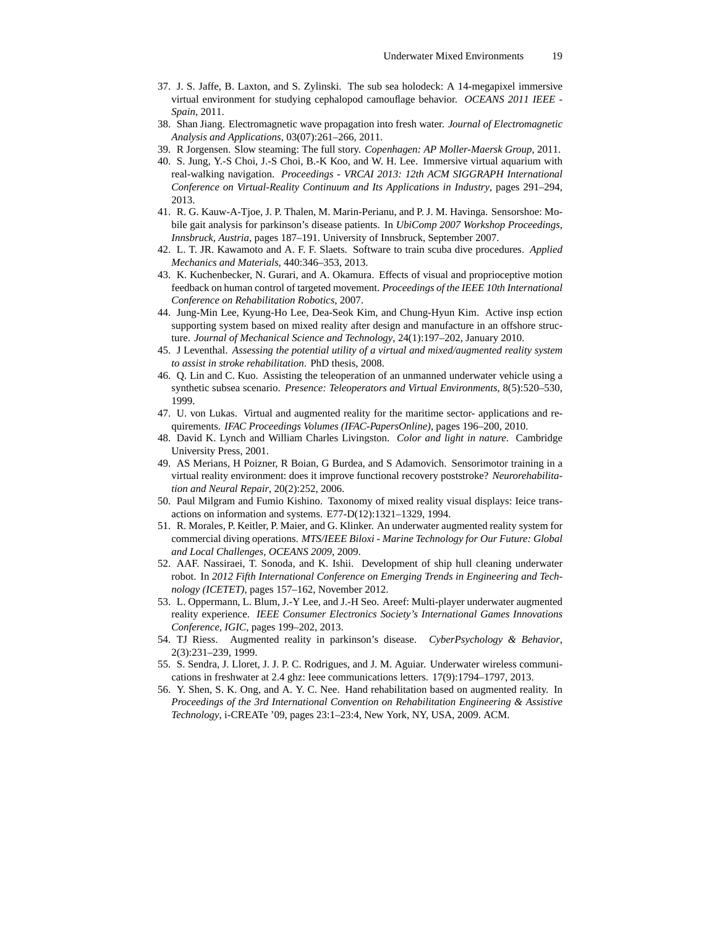- 37. J. S. Jaffe, B. Laxton, and S. Zylinski. The sub sea holodeck: A 14-megapixel immersive virtual environment for studying cephalopod camouflage behavior. *OCEANS 2011 IEEE - Spain*, 2011.
- 38. Shan Jiang. Electromagnetic wave propagation into fresh water. *Journal of Electromagnetic Analysis and Applications*, 03(07):261–266, 2011.
- 39. R Jorgensen. Slow steaming: The full story. *Copenhagen: AP Moller-Maersk Group*, 2011.
- 40. S. Jung, Y.-S Choi, J.-S Choi, B.-K Koo, and W. H. Lee. Immersive virtual aquarium with real-walking navigation. *Proceedings - VRCAI 2013: 12th ACM SIGGRAPH International Conference on Virtual-Reality Continuum and Its Applications in Industry*, pages 291–294, 2013.
- 41. R. G. Kauw-A-Tjoe, J. P. Thalen, M. Marin-Perianu, and P. J. M. Havinga. Sensorshoe: Mobile gait analysis for parkinson's disease patients. In *UbiComp 2007 Workshop Proceedings, Innsbruck, Austria*, pages 187–191. University of Innsbruck, September 2007.
- 42. L. T. JR. Kawamoto and A. F. F. Slaets. Software to train scuba dive procedures. *Applied Mechanics and Materials*, 440:346–353, 2013.
- 43. K. Kuchenbecker, N. Gurari, and A. Okamura. Effects of visual and proprioceptive motion feedback on human control of targeted movement. *Proceedings of the IEEE 10th International Conference on Rehabilitation Robotics*, 2007.
- 44. Jung-Min Lee, Kyung-Ho Lee, Dea-Seok Kim, and Chung-Hyun Kim. Active insp ection supporting system based on mixed reality after design and manufacture in an offshore structure. *Journal of Mechanical Science and Technology*, 24(1):197–202, January 2010.
- 45. J Leventhal. *Assessing the potential utility of a virtual and mixed/augmented reality system to assist in stroke rehabilitation*. PhD thesis, 2008.
- 46. Q. Lin and C. Kuo. Assisting the teleoperation of an unmanned underwater vehicle using a synthetic subsea scenario. *Presence: Teleoperators and Virtual Environments*, 8(5):520–530, 1999.
- 47. U. von Lukas. Virtual and augmented reality for the maritime sector- applications and requirements. *IFAC Proceedings Volumes (IFAC-PapersOnline)*, pages 196–200, 2010.
- 48. David K. Lynch and William Charles Livingston. *Color and light in nature*. Cambridge University Press, 2001.
- 49. AS Merians, H Poizner, R Boian, G Burdea, and S Adamovich. Sensorimotor training in a virtual reality environment: does it improve functional recovery poststroke? *Neurorehabilitation and Neural Repair*, 20(2):252, 2006.
- 50. Paul Milgram and Fumio Kishino. Taxonomy of mixed reality visual displays: Ieice transactions on information and systems. E77-D(12):1321–1329, 1994.
- 51. R. Morales, P. Keitler, P. Maier, and G. Klinker. An underwater augmented reality system for commercial diving operations. *MTS/IEEE Biloxi - Marine Technology for Our Future: Global and Local Challenges, OCEANS 2009*, 2009.
- 52. AAF. Nassiraei, T. Sonoda, and K. Ishii. Development of ship hull cleaning underwater robot. In *2012 Fifth International Conference on Emerging Trends in Engineering and Technology (ICETET)*, pages 157–162, November 2012.
- 53. L. Oppermann, L. Blum, J.-Y Lee, and J.-H Seo. Areef: Multi-player underwater augmented reality experience. *IEEE Consumer Electronics Society's International Games Innovations Conference, IGIC*, pages 199–202, 2013.
- 54. TJ Riess. Augmented reality in parkinson's disease. *CyberPsychology & Behavior*, 2(3):231–239, 1999.
- 55. S. Sendra, J. Lloret, J. J. P. C. Rodrigues, and J. M. Aguiar. Underwater wireless communications in freshwater at 2.4 ghz: Ieee communications letters. 17(9):1794–1797, 2013.
- 56. Y. Shen, S. K. Ong, and A. Y. C. Nee. Hand rehabilitation based on augmented reality. In *Proceedings of the 3rd International Convention on Rehabilitation Engineering & Assistive Technology*, i-CREATe '09, pages 23:1–23:4, New York, NY, USA, 2009. ACM.